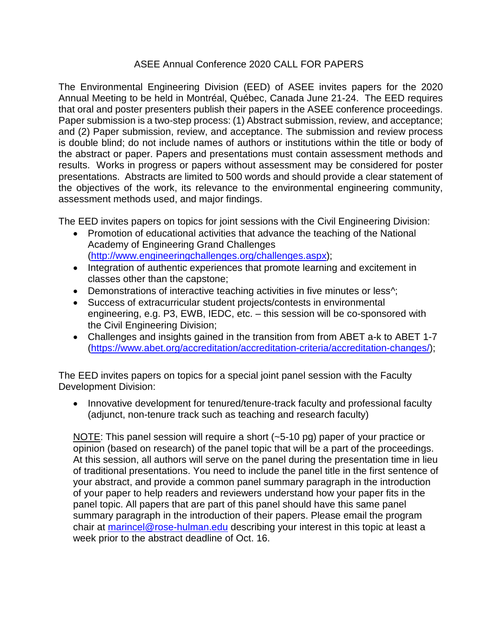## ASEE Annual Conference 2020 CALL FOR PAPERS

The Environmental Engineering Division (EED) of ASEE invites papers for the 2020 Annual Meeting to be held in Montréal, Québec, Canada June 21-24. The EED requires that oral and poster presenters publish their papers in the ASEE conference proceedings. Paper submission is a two-step process: (1) Abstract submission, review, and acceptance; and (2) Paper submission, review, and acceptance. The submission and review process is double blind; do not include names of authors or institutions within the title or body of the abstract or paper. Papers and presentations must contain assessment methods and results. Works in progress or papers without assessment may be considered for poster presentations. Abstracts are limited to 500 words and should provide a clear statement of the objectives of the work, its relevance to the environmental engineering community, assessment methods used, and major findings.

The EED invites papers on topics for joint sessions with the Civil Engineering Division:

- Promotion of educational activities that advance the teaching of the National Academy of Engineering Grand Challenges [\(http://www.engineeringchallenges.org/challenges.aspx\)](http://www.engineeringchallenges.org/challenges.aspx);
- Integration of authentic experiences that promote learning and excitement in classes other than the capstone;
- Demonstrations of interactive teaching activities in five minutes or less^;
- Success of extracurricular student projects/contests in environmental engineering, e.g. P3, EWB, IEDC, etc. – this session will be co-sponsored with the Civil Engineering Division;
- Challenges and insights gained in the transition from from ABET a-k to ABET 1-7 [\(https://www.abet.org/accreditation/accreditation-criteria/accreditation-changes/\)](https://www.abet.org/accreditation/accreditation-criteria/accreditation-changes/);

The EED invites papers on topics for a special joint panel session with the Faculty Development Division:

• Innovative development for tenured/tenure-track faculty and professional faculty (adjunct, non-tenure track such as teaching and research faculty)

NOTE: This panel session will require a short (~5-10 pg) paper of your practice or opinion (based on research) of the panel topic that will be a part of the proceedings. At this session, all authors will serve on the panel during the presentation time in lieu of traditional presentations. You need to include the panel title in the first sentence of your abstract, and provide a common panel summary paragraph in the introduction of your paper to help readers and reviewers understand how your paper fits in the panel topic. All papers that are part of this panel should have this same panel summary paragraph in the introduction of their papers. Please email the program chair at [marincel@rose-hulman.edu](mailto:marincel@rose-hulman.edu) describing your interest in this topic at least a week prior to the abstract deadline of Oct. 16.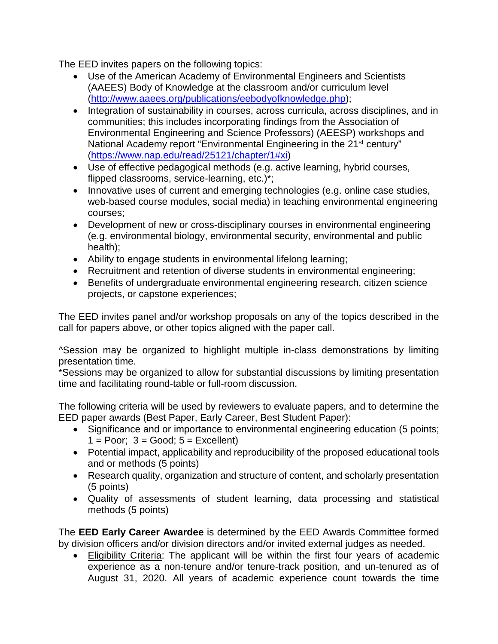The EED invites papers on the following topics:

- Use of the American Academy of Environmental Engineers and Scientists (AAEES) Body of Knowledge at the classroom and/or curriculum level [\(http://www.aaees.org/publications/eebodyofknowledge.php\)](http://www.aaees.org/publications/eebodyofknowledge.php);
- Integration of sustainability in courses, across curricula, across disciplines, and in communities; this includes incorporating findings from the Association of Environmental Engineering and Science Professors) (AEESP) workshops and National Academy report "Environmental Engineering in the 21<sup>st</sup> century" [\(https://www.nap.edu/read/25121/chapter/1#xi\)](https://www.nap.edu/read/25121/chapter/1#xi)
- Use of effective pedagogical methods (e.g. active learning, hybrid courses, flipped classrooms, service-learning, etc.)\*;
- Innovative uses of current and emerging technologies (e.g. online case studies, web-based course modules, social media) in teaching environmental engineering courses;
- Development of new or cross-disciplinary courses in environmental engineering (e.g. environmental biology, environmental security, environmental and public health);
- Ability to engage students in environmental lifelong learning;
- Recruitment and retention of diverse students in environmental engineering;
- Benefits of undergraduate environmental engineering research, citizen science projects, or capstone experiences;

The EED invites panel and/or workshop proposals on any of the topics described in the call for papers above, or other topics aligned with the paper call.

^Session may be organized to highlight multiple in-class demonstrations by limiting presentation time.

\*Sessions may be organized to allow for substantial discussions by limiting presentation time and facilitating round-table or full-room discussion.

The following criteria will be used by reviewers to evaluate papers, and to determine the EED paper awards (Best Paper, Early Career, Best Student Paper):

- Significance and or importance to environmental engineering education (5 points;  $1 = \text{Poor}$ ;  $3 = \text{Good}$ ;  $5 = \text{Excellent}$ )
- Potential impact, applicability and reproducibility of the proposed educational tools and or methods (5 points)
- Research quality, organization and structure of content, and scholarly presentation (5 points)
- Quality of assessments of student learning, data processing and statistical methods (5 points)

The **EED Early Career Awardee** is determined by the EED Awards Committee formed by division officers and/or division directors and/or invited external judges as needed.

• Eligibility Criteria: The applicant will be within the first four years of academic experience as a non-tenure and/or tenure-track position, and un-tenured as of August 31, 2020. All years of academic experience count towards the time